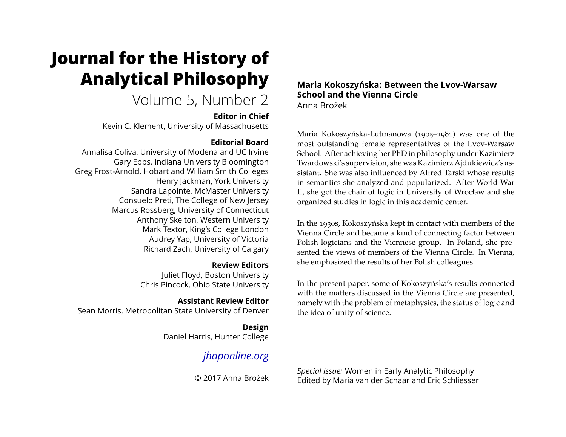# **Journal for the History of Analytical Philosophy**

# Volume 5, Number 2

## **Editor in Chief**

Kevin C. Klement, University of Massachusetts

# **Editorial Board**

Annalisa Coliva, University of Modena and UC Irvine Gary Ebbs, Indiana University Bloomington Greg Frost-Arnold, Hobart and William Smith Colleges Henry Jackman, York University Sandra Lapointe, McMaster University Consuelo Preti, The College of New Jersey Marcus Rossberg, University of Connecticut Anthony Skelton, Western University Mark Textor, King's College London Audrey Yap, University of Victoria Richard Zach, University of Calgary

# **Review Editors**

Juliet Floyd, Boston University Chris Pincock, Ohio State University

**Assistant Review Editor** Sean Morris, Metropolitan State University of Denver

> **Design** Daniel Harris, Hunter College

# *[jhaponline.org](https://jhaponline.org)*

© 2017 Anna Brożek

#### **Maria Kokoszyńska: Between the Lvov-Warsaw School and the Vienna Circle** Anna Brożek

Maria Kokoszyńska-Lutmanowa (1905–1981) was one of the most outstanding female representatives of the Lvov-Warsaw School. After achieving her PhD in philosophy under Kazimierz Twardowski's supervision, she was Kazimierz Ajdukiewicz's assistant. She was also influenced by Alfred Tarski whose results in semantics she analyzed and popularized. After World War II, she got the chair of logic in University of Wrocław and she organized studies in logic in this academic center.

In the 1930s, Kokoszyńska kept in contact with members of the Vienna Circle and became a kind of connecting factor between Polish logicians and the Viennese group. In Poland, she presented the views of members of the Vienna Circle. In Vienna, she emphasized the results of her Polish colleagues.

In the present paper, some of Kokoszyńska's results connected with the matters discussed in the Vienna Circle are presented, namely with the problem of metaphysics, the status of logic and the idea of unity of science.

*Special Issue:* Women in Early Analytic Philosophy Edited by Maria van der Schaar and Eric Schliesser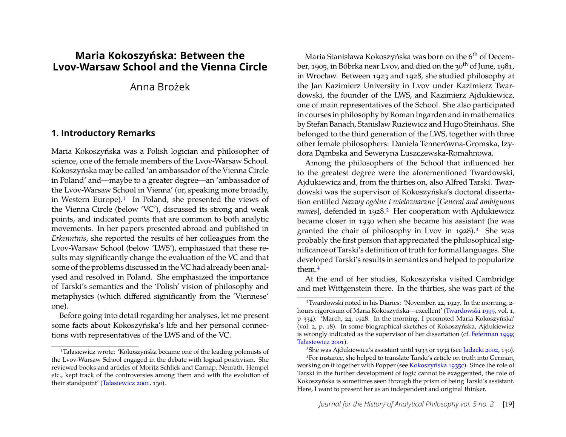# **Maria Kokoszyńska: Between the Lvov-Warsaw School and the Vienna Circle**

Anna Brożek

#### **1. Introductory Remarks**

Maria Kokoszyńska was a Polish logician and philosopher of science, one of the female members of the Lvov-Warsaw School. Kokoszyńska may be called 'an ambassador of the Vienna Circle in Poland' and—maybe to a greater degree—an 'ambassador of the Lvov-Warsaw School in Vienna' (or, speaking more broadly, in Western Europe).<sup>[1](#page-1-0)</sup> In Poland, she presented the views of the Vienna Circle (below 'VC'), discussed its strong and weak points, and indicated points that are common to both analytic movements. In her papers presented abroad and published in *Erkenntnis*, she reported the results of her colleagues from the Lvov-Warsaw School (below 'LWS'), emphasized that these results may significantly change the evaluation of the VC and that some of the problems discussed in the VC had already been analysed and resolved in Poland. She emphasized the importance of Tarski's semantics and the 'Polish' vision of philosophy and metaphysics (which differed significantly from the 'Viennese' one).

Before going into detail regarding her analyses, let me present some facts about Kokoszyńska's life and her personal connections with representatives of the LWS and of the VC.

Maria Stanisława Kokoszyńska was born on the 6<sup>th</sup> of December, 1905, in Bóbrka near Lvov, and died on the 30<sup>th</sup> of June, 1981, in Wrocław. Between 1923 and 1928, she studied philosophy at the Jan Kazimierz University in Lvov under Kazimierz Twardowski, the founder of the LWS, and Kazimierz Ajdukiewicz, one of main representatives of the School. She also participated in courses in philosophy by Roman Ingarden and in mathematics by Stefan Banach, Stanisław Ruziewicz and Hugo Steinhaus. She belonged to the third generation of the LWS, together with three other female philosophers: Daniela Tennerówna-Gromska, Izydora Dambska and Seweryna Łuszczewska-Romahnowa.

Among the philosophers of the School that influenced her to the greatest degree were the aforementioned Twardowski, Ajdukiewicz and, from the thirties on, also Alfred Tarski. Twardowski was the supervisor of Kokoszyńska's doctoral dissertation entitled *Nazwy ogólne i wieloznaczne* [*General and ambiguous names*], defended in 19[2](#page-1-1)8.<sup>2</sup> Her cooperation with Ajdukiewicz became closer in 1930 when she became his assistant (he was granted the chair of philosophy in Lvov in  $1928$ ).<sup>[3](#page-1-2)</sup> She was probably the first person that appreciated the philosophical significance of Tarski's definition of truth for formal languages. She developed Tarski's results in semantics and helped to popularize them.[4](#page-1-3)

At the end of her studies, Kokoszyńska visited Cambridge and met Wittgenstein there. In the thirties, she was part of the

<span id="page-1-0"></span><sup>1</sup>Tałasiewicz wrote: 'Kokoszyńska became one of the leading polemists of the Lvov-Warsaw School engaged in the debate with logical positivism. She reviewed books and articles of Moritz Schlick and Carnap, Neurath, Hempel etc., kept track of the controversies among them and with the evolution of their standpoint' [\(Tałasiewicz 2001,](#page-17-0) 130).

<span id="page-1-1"></span><sup>2</sup>Twardowski noted in his Diaries: 'November, 22, 1927. In the morning, 2 hours rigorosum of Maria Kokoszyńska—excellent' [\(Twardowski 1999,](#page-18-0) vol. 1, p 334). 'March, 24, 1928. In the morning, I promoted Maria Kokoszyńska' (vol. 2, p. 18). In some biographical sketches of Kokoszyńska, Ajdukiewicz is wrongly indicated as the supervisor of her dissertation (cf. [Feferman 1999;](#page-17-1) [Tałasiewicz 2001\)](#page-17-0).

<span id="page-1-3"></span><span id="page-1-2"></span><sup>3</sup>She was Ajdukiewicz's assistant until 1933 or 1934 (see [Jadacki 2002,](#page-17-2) 150).

<sup>4</sup>For instance, she helped to translate Tarski's article on truth into German, working on it together with Popper (see [Kokoszyńska 1935c\)](#page-14-0). Since the role of Tarski in the further development of logic cannot be exaggerated, the role of Kokoszyńska is sometimes seen through the prism of being Tarski's assistant. Here, I want to present her as an independent and original thinker.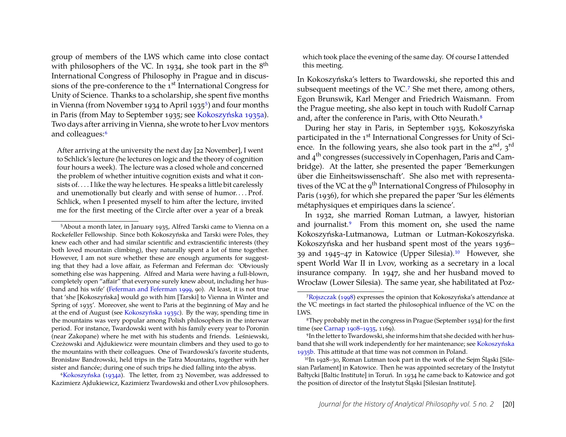group of members of the LWS which came into close contact with philosophers of the VC. In 1934, she took part in the 8<sup>th</sup> International Congress of Philosophy in Prague and in discussions of the pre-conference to the 1<sup>st</sup> International Congress for Unity of Science. Thanks to a scholarship, she spent five months in Vienna (from November 1934 to April 193[5](#page-2-0)<sup>5</sup>) and four months in Paris (from May to September 1935; see [Kokoszyńska 1935a\)](#page-14-1). Two days after arriving in Vienna, she wrote to her Lvov mentors and colleagues:<sup>[6](#page-2-1)</sup>

After arriving at the university the next day [22 November], I went to Schlick's lecture (he lectures on logic and the theory of cognition four hours a week). The lecture was a closed whole and concerned the problem of whether intuitive cognition exists and what it consists of. . . . I like the way he lectures. He speaks a little bit carelessly and unemotionally but clearly and with sense of humor....Prof. Schlick, when I presented myself to him after the lecture, invited me for the first meeting of the Circle after over a year of a break

<span id="page-2-1"></span>6[Kokoszyńska](#page-14-2) [\(1934a\)](#page-14-2). The letter, from 23 November, was addressed to Kazimierz Ajdukiewicz, Kazimierz Twardowski and other Lvov philosophers.

which took place the evening of the same day. Of course I attended this meeting.

In Kokoszyńska's letters to Twardowski, she reported this and subsequent meetings of the VC.[7](#page-2-2) She met there, among others, Egon Brunswik, Karl Menger and Friedrich Waismann. From the Prague meeting, she also kept in touch with Rudolf Carnap and, after the conference in Paris, with Otto Neurath.<sup>[8](#page-2-3)</sup>

During her stay in Paris, in September 1935, Kokoszyńska participated in the 1<sup>st</sup> International Congresses for Unity of Science. In the following years, she also took part in the  $2<sup>nd</sup>$ ,  $3<sup>rd</sup>$ and 4th congresses (successively in Copenhagen, Paris and Cambridge). At the latter, she presented the paper 'Bemerkungen über die Einheitswissenschaft'. She also met with representatives of the VC at the  $9<sup>th</sup>$  International Congress of Philosophy in Paris (1936), for which she prepared the paper 'Sur les éléments métaphysiques et empiriques dans la science'.

In 1932, she married Roman Lutman, a lawyer, historian and journalist.[9](#page-2-4) From this moment on, she used the name Kokoszyńska-Lutmanowa, Lutman or Lutman-Kokoszyńska. Kokoszyńska and her husband spent most of the years 1936– 39 and 1945–47 in Katowice (Upper Silesia).[10](#page-2-5) However, she spent World War II in Lvov, working as a secretary in a local insurance company. In 1947, she and her husband moved to Wrocław (Lower Silesia). The same year, she habilitated at Poz-

<span id="page-2-0"></span><sup>5</sup>About a month later, in January 1935, Alfred Tarski came to Vienna on a Rockefeller Fellowship. Since both Kokoszyńska and Tarski were Poles, they knew each other and had similar scientific and extrascientific interests (they both loved mountain climbing), they naturally spent a lot of time together. However, I am not sure whether these are enough arguments for suggesting that they had a love affair, as Feferman and Feferman do: 'Obviously something else was happening. Alfred and Maria were having a full-blown, completely open "affair" that everyone surely knew about, including her husband and his wife' [\(Feferman and Feferman 1999,](#page-17-3) 90). At least, it is not true that 'she [Kokoszyńska] would go with him [Tarski] to Vienna in Winter and Spring of 1935'. Moreover, she went to Paris at the beginning of May and he at the end of August (see [Kokoszyńska 1935c\)](#page-14-0). By the way, spending time in the mountains was very popular among Polish philosophers in the interwar period. For instance, Twardowski went with his family every year to Poronin (near Zakopane) where he met with his students and friends. Leśniewski, Czeżowski and Ajdukiewicz were mountain climbers and they used to go to the mountains with their colleagues. One of Twardowski's favorite students, Bronisław Bandrowski, held trips in the Tatra Mountains, together with her sister and fiancée; during one of such trips he died falling into the abyss.

<span id="page-2-2"></span><sup>7</sup>[Rojszczak](#page-17-4) [\(1998\)](#page-17-4) expresses the opinion that Kokoszyńska's attendance at the VC meetings in fact started the philosophical influence of the VC on the LWS.

<span id="page-2-3"></span><sup>8</sup>They probably met in the congress in Prague (September 1934) for the first time (see [Carnap 1908–1935,](#page-16-0) 1169).

<span id="page-2-4"></span><sup>9</sup>In the letter to Twardowski, she informs him that she decided with her husband that she will work independently for her maintenance; see [Kokoszyńska](#page-14-3) [1935b.](#page-14-3) This attitude at that time was not common in Poland.

<span id="page-2-5"></span><sup>&</sup>lt;sup>10</sup>In 1928–30, Roman Lutman took part in the work of the Sejm Śląski [Silesian Parlament] in Katowice. Then he was appointed secretary of the Instytut Bałtycki [Baltic Institute] in Toruń. In 1934 he came back to Katowice and got the position of director of the Instytut Śląski [Silesian Institute].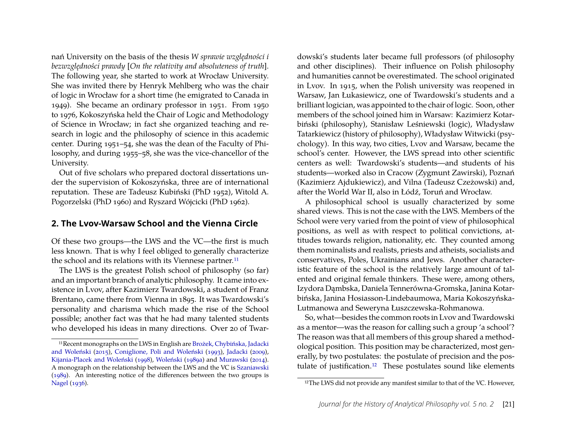nań University on the basis of the thesis *W sprawie względności i bezwzgl˛edności prawdy* [*On the relativity and absoluteness of truth*]. The following year, she started to work at Wrocław University. She was invited there by Henryk Mehlberg who was the chair of logic in Wrocław for a short time (he emigrated to Canada in 1949). She became an ordinary professor in 1951. From 1950 to 1976, Kokoszyńska held the Chair of Logic and Methodology of Science in Wrocław; in fact she organized teaching and research in logic and the philosophy of science in this academic center. During 1951–54, she was the dean of the Faculty of Philosophy, and during 1955–58, she was the vice-chancellor of the University.

Out of five scholars who prepared doctoral dissertations under the supervision of Kokoszyńska, three are of international reputation. These are Tadeusz Kubiński (PhD 1952), Witold A. Pogorzelski (PhD 1960) and Ryszard Wójcicki (PhD 1962).

#### **2. The Lvov-Warsaw School and the Vienna Circle**

Of these two groups—the LWS and the VC—the first is much less known. That is why I feel obliged to generally characterize the school and its relations with its Viennese partner.<sup>[11](#page-3-0)</sup>

The LWS is the greatest Polish school of philosophy (so far) and an important branch of analytic philosophy. It came into existence in Lvov, after Kazimierz Twardowski, a student of Franz Brentano, came there from Vienna in 1895. It was Twardowski's personality and charisma which made the rise of the School possible; another fact was that he had many talented students who developed his ideas in many directions. Over 20 of Twardowski's students later became full professors (of philosophy and other disciplines). Their influence on Polish philosophy and humanities cannot be overestimated. The school originated in Lvov. In 1915, when the Polish university was reopened in Warsaw, Jan Łukasiewicz, one of Twardowski's students and a brilliant logician, was appointed to the chair of logic. Soon, other members of the school joined him in Warsaw: Kazimierz Kotarbiński (philosophy), Stanisław Leśniewski (logic), Władysław Tatarkiewicz (history of philosophy), Władysław Witwicki (psychology). In this way, two cities, Lvov and Warsaw, became the school's center. However, the LWS spread into other scientific centers as well: Twardowski's students—and students of his students—worked also in Cracow (Zygmunt Zawirski), Poznań (Kazimierz Ajdukiewicz), and Vilna (Tadeusz Czeżowski) and, after the World War II, also in Łódź, Toruń and Wrocław.

A philosophical school is usually characterized by some shared views. This is not the case with the LWS. Members of the School were very varied from the point of view of philosophical positions, as well as with respect to political convictions, attitudes towards religion, nationality, etc. They counted among them nominalists and realists, priests and atheists, socialists and conservatives, Poles, Ukrainians and Jews. Another characteristic feature of the school is the relatively large amount of talented and original female thinkers. These were, among others, Izydora Dambska, Daniela Tennerówna-Gromska, Janina Kotarbińska, Janina Hosiasson-Lindebaumowa, Maria Kokoszyńska-Lutmanowa and Seweryna Łuszczewska-Rohmanowa.

So, what—besides the common roots in Lvov and Twardowski as a mentor—was the reason for calling such a group 'a school'? The reason was that all members of this group shared a methodological position. This position may be characterized, most generally, by two postulates: the postulate of precision and the pos-tulate of justification.<sup>[12](#page-3-1)</sup> These postulates sound like elements

<span id="page-3-0"></span><sup>11</sup>Recent monographs on the LWS in English are [Brożek, Chybińska, Jadacki](#page-16-1) [and Woleński](#page-16-1) [\(2015\)](#page-16-1), [Coniglione, Poli and Woleński](#page-16-2) [\(1993\)](#page-16-2), [Jadacki](#page-17-5) [\(2009\)](#page-17-5), [Kijania-Placek and Woleński](#page-17-6) [\(1998\)](#page-17-6), [Woleński](#page-18-1) [\(1989a\)](#page-18-1) and [Murawski](#page-17-7) [\(2014\)](#page-17-7). A monograph on the relationship between the LWS and the VC is [Szaniawski](#page-17-8) [\(1989\)](#page-17-8). An interesting notice of the differences between the two groups is [Nagel](#page-17-9) [\(1936\)](#page-17-9).

<span id="page-3-1"></span><sup>&</sup>lt;sup>12</sup>The LWS did not provide any manifest similar to that of the VC. However,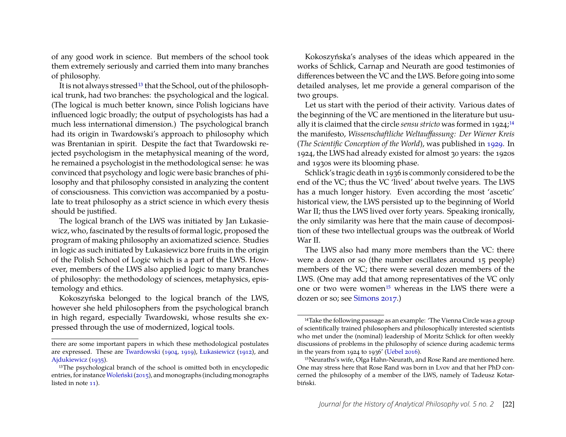of any good work in science. But members of the school took them extremely seriously and carried them into many branches of philosophy.

It is not always stressed<sup>[13](#page-4-0)</sup> that the School, out of the philosophical trunk, had two branches: the psychological and the logical. (The logical is much better known, since Polish logicians have influenced logic broadly; the output of psychologists has had a much less international dimension.) The psychological branch had its origin in Twardowski's approach to philosophy which was Brentanian in spirit. Despite the fact that Twardowski rejected psychologism in the metaphysical meaning of the word, he remained a psychologist in the methodological sense: he was convinced that psychology and logic were basic branches of philosophy and that philosophy consisted in analyzing the content of consciousness. This conviction was accompanied by a postulate to treat philosophy as a strict science in which every thesis should be justified.

The logical branch of the LWS was initiated by Jan Łukasiewicz, who, fascinated by the results of formal logic, proposed the program of making philosophy an axiomatized science. Studies in logic as such initiated by Łukasiewicz bore fruits in the origin of the Polish School of Logic which is a part of the LWS. However, members of the LWS also applied logic to many branches of philosophy: the methodology of sciences, metaphysics, epistemology and ethics.

Kokoszyńska belonged to the logical branch of the LWS, however she held philosophers from the psychological branch in high regard, especially Twardowski, whose results she expressed through the use of modernized, logical tools.

Kokoszyńska's analyses of the ideas which appeared in the works of Schlick, Carnap and Neurath are good testimonies of differences between the VC and the LWS. Before going into some detailed analyses, let me provide a general comparison of the two groups.

Let us start with the period of their activity. Various dates of the beginning of the VC are mentioned in the literature but usually it is claimed that the circle *sensu stricto* was formed in 1924;<sup>[14](#page-4-1)</sup> the manifesto, *Wissenschaftliche Weltauffassung: Der Wiener Kreis* (*The Scientific Conception of the World*), was published in [1929.](#page-17-13) In 1924, the LWS had already existed for almost 30 years: the 1920s and 1930s were its blooming phase.

Schlick's tragic death in 1936 is commonly considered to be the end of the VC; thus the VC 'lived' about twelve years. The LWS has a much longer history. Even according the most 'ascetic' historical view, the LWS persisted up to the beginning of World War II; thus the LWS lived over forty years. Speaking ironically, the only similarity was here that the main cause of decomposition of these two intellectual groups was the outbreak of World War II.

The LWS also had many more members than the VC: there were a dozen or so (the number oscillates around 15 people) members of the VC; there were several dozen members of the LWS. (One may add that among representatives of the VC only one or two were women[15](#page-4-2) whereas in the LWS there were a dozen or so; see [Simons 2017.](#page-17-14))

there are some important papers in which these methodological postulates are expressed. These are [Twardowski](#page-17-10) [\(1904,](#page-17-10) [1919\)](#page-17-11), [Łukasiewicz](#page-17-12) [\(1912\)](#page-17-12), and [Ajdukiewicz](#page-16-3) [\(1935\)](#page-16-3).

<span id="page-4-0"></span><sup>&</sup>lt;sup>13</sup>The psychological branch of the school is omitted both in encyclopedic entries, for instance Woleński (2015), and monographs (including monographs listed in note [11\)](#page-3-0).

<span id="page-4-1"></span><sup>&</sup>lt;sup>14</sup>Take the following passage as an example: 'The Vienna Circle was a group of scientifically trained philosophers and philosophically interested scientists who met under the (nominal) leadership of Moritz Schlick for often weekly discussions of problems in the philosophy of science during academic terms in the years from 1924 to 1936' [\(Uebel 2016\)](#page-18-3).

<span id="page-4-2"></span><sup>15</sup>Neuraths's wife, Olga Hahn-Neurath, and Rose Rand are mentioned here. One may stress here that Rose Rand was born in Lvov and that her PhD concerned the philosophy of a member of the LWS, namely of Tadeusz Kotarbiński.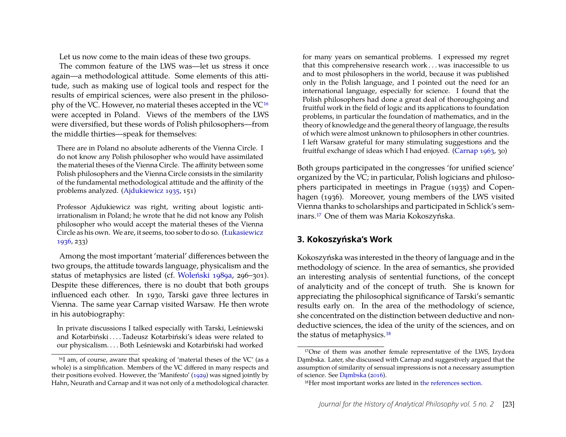Let us now come to the main ideas of these two groups.

The common feature of the LWS was—let us stress it once again—a methodological attitude. Some elements of this attitude, such as making use of logical tools and respect for the results of empirical sciences, were also present in the philosophy of the VC. However, no material theses accepted in the VC[16](#page-5-0) were accepted in Poland. Views of the members of the LWS were diversified, but these words of Polish philosophers—from the middle thirties—speak for themselves:

There are in Poland no absolute adherents of the Vienna Circle. I do not know any Polish philosopher who would have assimilated the material theses of the Vienna Circle. The affinity between some Polish philosophers and the Vienna Circle consists in the similarity of the fundamental methodological attitude and the affinity of the problems analyzed. [\(Ajdukiewicz 1935,](#page-16-3) 151)

Professor Ajdukiewicz was right, writing about logistic antiirrationalism in Poland; he wrote that he did not know any Polish philosopher who would accept the material theses of the Vienna Circle as his own. We are, it seems, too sober to do so. [\(Łukasiewicz](#page-17-15) [1936,](#page-17-15) 233)

Among the most important 'material' differences between the two groups, the attitude towards language, physicalism and the status of metaphysics are listed (cf. [Woleński 1989a,](#page-18-1) 296–301). Despite these differences, there is no doubt that both groups influenced each other. In 1930, Tarski gave three lectures in Vienna. The same year Carnap visited Warsaw. He then wrote in his autobiography:

In private discussions I talked especially with Tarski, Leśniewski and Kotarbiński . . . . Tadeusz Kotarbiński's ideas were related to our physicalism. . . . Both Leśniewski and Kotarbiński had worked

for many years on semantical problems. I expressed my regret that this comprehensive research work . . . was inaccessible to us and to most philosophers in the world, because it was published only in the Polish language, and I pointed out the need for an international language, especially for science. I found that the Polish philosophers had done a great deal of thoroughgoing and fruitful work in the field of logic and its applications to foundation problems, in particular the foundation of mathematics, and in the theory of knowledge and the general theory of language, the results of which were almost unknown to philosophers in other countries. I left Warsaw grateful for many stimulating suggestions and the fruitful exchange of ideas which I had enjoyed. [\(Carnap 1963,](#page-16-4) 30)

Both groups participated in the congresses 'for unified science' organized by the VC; in particular, Polish logicians and philosophers participated in meetings in Prague (1935) and Copenhagen (1936). Moreover, young members of the LWS visited Vienna thanks to scholarships and participated in Schlick's seminars.[17](#page-5-1) One of them was Maria Kokoszyńska.

## **3. Kokoszyńska's Work**

Kokoszyńska was interested in the theory of language and in the methodology of science. In the area of semantics, she provided an interesting analysis of sentential functions, of the concept of analyticity and of the concept of truth. She is known for appreciating the philosophical significance of Tarski's semantic results early on. In the area of the methodology of science, she concentrated on the distinction between deductive and nondeductive sciences, the idea of the unity of the sciences, and on the status of metaphysics.<sup>[18](#page-5-2)</sup>

<span id="page-5-0"></span><sup>16</sup>I am, of course, aware that speaking of 'material theses of the VC' (as a whole) is a simplification. Members of the VC differed in many respects and their positions evolved. However, the 'Manifesto' [\(1929\)](#page-17-13) was signed jointly by Hahn, Neurath and Carnap and it was not only of a methodological character.

<span id="page-5-1"></span><sup>&</sup>lt;sup>17</sup>One of them was another female representative of the LWS, Izydora Dambska. Later, she discussed with Carnap and suggestively argued that the assumption of similarity of sensual impressions is not a necessary assumption of science. See Dambska [\(2016\)](#page-17-16).

<span id="page-5-2"></span><sup>18</sup>Her most important works are listed in [the references section.](#page-14-4)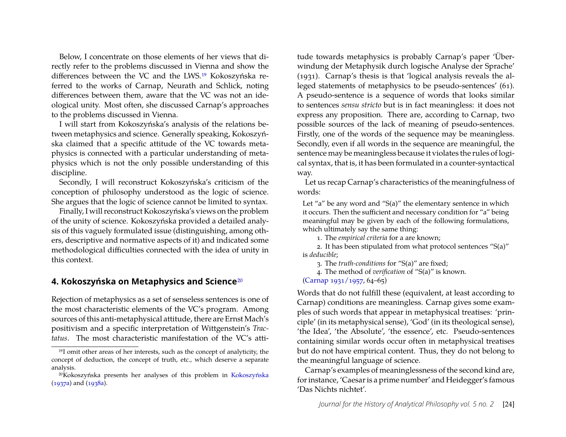Below, I concentrate on those elements of her views that directly refer to the problems discussed in Vienna and show the differences between the VC and the LWS.[19](#page-6-0) Kokoszyńska referred to the works of Carnap, Neurath and Schlick, noting differences between them, aware that the VC was not an ideological unity. Most often, she discussed Carnap's approaches to the problems discussed in Vienna.

I will start from Kokoszyńska's analysis of the relations between metaphysics and science. Generally speaking, Kokoszyńska claimed that a specific attitude of the VC towards metaphysics is connected with a particular understanding of metaphysics which is not the only possible understanding of this discipline.

Secondly, I will reconstruct Kokoszyńska's criticism of the conception of philosophy understood as the logic of science. She argues that the logic of science cannot be limited to syntax.

Finally, I will reconstruct Kokoszyńska's views on the problem of the unity of science. Kokoszyńska provided a detailed analysis of this vaguely formulated issue (distinguishing, among others, descriptive and normative aspects of it) and indicated some methodological difficulties connected with the idea of unity in this context.

#### **4. Kokoszyńska on Metaphysics and Science**[20](#page-6-1)

Rejection of metaphysics as a set of senseless sentences is one of the most characteristic elements of the VC's program. Among sources of this anti-metaphysical attitude, there are Ernst Mach's positivism and a specific interpretation of Wittgenstein's *Tractatus*. The most characteristic manifestation of the VC's attitude towards metaphysics is probably Carnap's paper 'Überwindung der Metaphysik durch logische Analyse der Sprache' (1931). Carnap's thesis is that 'logical analysis reveals the alleged statements of metaphysics to be pseudo-sentences' (61). A pseudo-sentence is a sequence of words that looks similar to sentences *sensu stricto* but is in fact meaningless: it does not express any proposition. There are, according to Carnap, two possible sources of the lack of meaning of pseudo-sentences. Firstly, one of the words of the sequence may be meaningless. Secondly, even if all words in the sequence are meaningful, the sentence may be meaningless because it violates the rules of logical syntax, that is, it has been formulated in a counter-syntactical way.

Let us recap Carnap's characteristics of the meaningfulness of words:

Let "a" be any word and "S(a)" the elementary sentence in which it occurs. Then the sufficient and necessary condition for "a" being meaningful may be given by each of the following formulations, which ultimately say the same thing:

1. The *empirical criteria* for a are known;

2. It has been stipulated from what protocol sentences "S(a)" is *deducible*;

3. The *truth-conditions* for "S(a)" are fixed;

4. The method of *verification* of "S(a)" is known.

[\(Carnap 1931/1957,](#page-16-5) 64–65)

Words that do not fulfill these (equivalent, at least according to Carnap) conditions are meaningless. Carnap gives some examples of such words that appear in metaphysical treatises: 'principle' (in its metaphysical sense), 'God' (in its theological sense), 'the Idea', 'the Absolute', 'the essence', etc. Pseudo-sentences containing similar words occur often in metaphysical treatises but do not have empirical content. Thus, they do not belong to the meaningful language of science.

Carnap's examples of meaninglessness of the second kind are, for instance, 'Caesar is a prime number' and Heidegger's famous 'Das Nichts nichtet'.

<span id="page-6-0"></span><sup>&</sup>lt;sup>19</sup>I omit other areas of her interests, such as the concept of analyticity, the concept of deduction, the concept of truth, etc., which deserve a separate analysis.

<span id="page-6-1"></span><sup>20</sup>Kokoszyńska presents her analyses of this problem in [Kokoszyńska](#page-15-0) [\(1937a\)](#page-15-0) and [\(1938a\)](#page-15-1).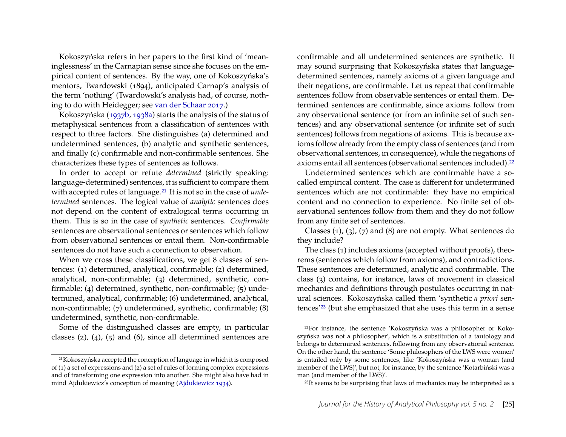Kokoszyńska refers in her papers to the first kind of 'meaninglessness' in the Carnapian sense since she focuses on the empirical content of sentences. By the way, one of Kokoszyńska's mentors, Twardowski (1894), anticipated Carnap's analysis of the term 'nothing' (Twardowski's analysis had, of course, nothing to do with Heidegger; see [van der Schaar 2017.](#page-18-4))

Kokoszyńska [\(1937b,](#page-15-2) [1938a\)](#page-15-1) starts the analysis of the status of metaphysical sentences from a classification of sentences with respect to three factors. She distinguishes (a) determined and undetermined sentences, (b) analytic and synthetic sentences, and finally (c) confirmable and non-confirmable sentences. She characterizes these types of sentences as follows.

In order to accept or refute *determined* (strictly speaking: language-determined) sentences, it is sufficient to compare them with accepted rules of language.[21](#page-7-0) It is not so in the case of *undetermined* sentences. The logical value of *analytic* sentences does not depend on the content of extralogical terms occurring in them. This is so in the case of *synthetic* sentences. *Confirmable* sentences are observational sentences or sentences which follow from observational sentences or entail them. Non-confirmable sentences do not have such a connection to observation.

When we cross these classifications, we get 8 classes of sentences: (1) determined, analytical, confirmable; (2) determined, analytical, non-confirmable; (3) determined, synthetic, confirmable; (4) determined, synthetic, non-confirmable; (5) undetermined, analytical, confirmable; (6) undetermined, analytical, non-confirmable; (7) undetermined, synthetic, confirmable; (8) undetermined, synthetic, non-confirmable.

Some of the distinguished classes are empty, in particular classes  $(2)$ ,  $(4)$ ,  $(5)$  and  $(6)$ , since all determined sentences are confirmable and all undetermined sentences are synthetic. It may sound surprising that Kokoszyńska states that languagedetermined sentences, namely axioms of a given language and their negations, are confirmable. Let us repeat that confirmable sentences follow from observable sentences or entail them. Determined sentences are confirmable, since axioms follow from any observational sentence (or from an infinite set of such sentences) and any observational sentence (or infinite set of such sentences) follows from negations of axioms. This is because axioms follow already from the empty class of sentences (and from observational sentences, in consequence), while the negations of axioms entail all sentences (observational sentences included).[22](#page-7-1)

Undetermined sentences which are confirmable have a socalled empirical content. The case is different for undetermined sentences which are not confirmable: they have no empirical content and no connection to experience. No finite set of observational sentences follow from them and they do not follow from any finite set of sentences.

Classes (1), (3), (7) and (8) are not empty. What sentences do they include?

The class (1) includes axioms (accepted without proofs), theorems (sentences which follow from axioms), and contradictions. These sentences are determined, analytic and confirmable. The class (3) contains, for instance, laws of movement in classical mechanics and definitions through postulates occurring in natural sciences. Kokoszyńska called them 'synthetic *a priori* sentences'[23](#page-7-2) (but she emphasized that she uses this term in a sense

<span id="page-7-0"></span><sup>21</sup>Kokoszyńska accepted the conception of language in which it is composed of  $(1)$  a set of expressions and  $(2)$  a set of rules of forming complex expressions and of transforming one expression into another. She might also have had in mind Ajdukiewicz's conception of meaning [\(Ajdukiewicz 1934\)](#page-16-6).

<span id="page-7-1"></span><sup>22</sup>For instance, the sentence 'Kokoszyńska was a philosopher or Kokoszyńska was not a philosopher', which is a substitution of a tautology and belongs to determined sentences, following from any observational sentence. On the other hand, the sentence 'Some philosophers of the LWS were women' is entailed only by some sentences, like 'Kokoszyńska was a woman (and member of the LWS)', but not, for instance, by the sentence 'Kotarbiński was a man (and member of the LWS)'.

<span id="page-7-2"></span><sup>23</sup>It seems to be surprising that laws of mechanics may be interpreted as *a*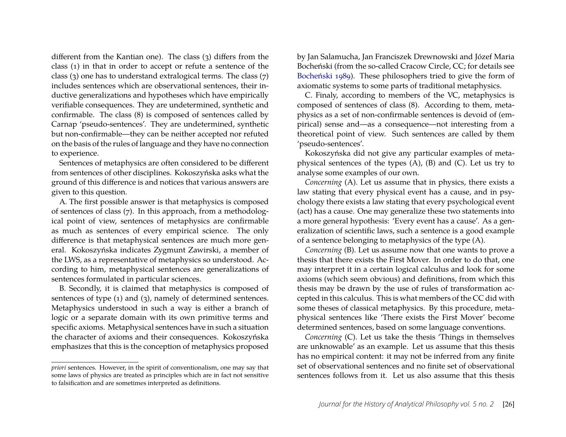different from the Kantian one). The class (3) differs from the class (1) in that in order to accept or refute a sentence of the class (3) one has to understand extralogical terms. The class (7) includes sentences which are observational sentences, their inductive generalizations and hypotheses which have empirically verifiable consequences. They are undetermined, synthetic and confirmable. The class (8) is composed of sentences called by Carnap 'pseudo-sentences'. They are undetermined, synthetic but non-confirmable—they can be neither accepted nor refuted on the basis of the rules of language and they have no connection to experience.

Sentences of metaphysics are often considered to be different from sentences of other disciplines. Kokoszyńska asks what the ground of this difference is and notices that various answers are given to this question.

A. The first possible answer is that metaphysics is composed of sentences of class (7). In this approach, from a methodological point of view, sentences of metaphysics are confirmable as much as sentences of every empirical science. The only difference is that metaphysical sentences are much more general. Kokoszyńska indicates Zygmunt Zawirski, a member of the LWS, as a representative of metaphysics so understood. According to him, metaphysical sentences are generalizations of sentences formulated in particular sciences.

B. Secondly, it is claimed that metaphysics is composed of sentences of type (1) and (3), namely of determined sentences. Metaphysics understood in such a way is either a branch of logic or a separate domain with its own primitive terms and specific axioms. Metaphysical sentences have in such a situation the character of axioms and their consequences. Kokoszyńska emphasizes that this is the conception of metaphysics proposed

*priori* sentences. However, in the spirit of conventionalism, one may say that some laws of physics are treated as principles which are in fact not sensitive to falsification and are sometimes interpreted as definitions.

by Jan Salamucha, Jan Franciszek Drewnowski and Józef Maria Bocheński (from the so-called Cracow Circle, CC; for details see [Bocheński 1989\)](#page-16-7). These philosophers tried to give the form of axiomatic systems to some parts of traditional metaphysics.

C. Finaly, according to members of the VC, metaphysics is composed of sentences of class (8). According to them, metaphysics as a set of non-confirmable sentences is devoid of (empirical) sense and—as a consequence—not interesting from a theoretical point of view. Such sentences are called by them 'pseudo-sentences'.

Kokoszyńska did not give any particular examples of metaphysical sentences of the types (A), (B) and (C). Let us try to analyse some examples of our own.

*Concerning* (A). Let us assume that in physics, there exists a law stating that every physical event has a cause, and in psychology there exists a law stating that every psychological event (act) has a cause. One may generalize these two statements into a more general hypothesis: 'Every event has a cause'. As a generalization of scientific laws, such a sentence is a good example of a sentence belonging to metaphysics of the type (A).

*Concerning* (B). Let us assume now that one wants to prove a thesis that there exists the First Mover. In order to do that, one may interpret it in a certain logical calculus and look for some axioms (which seem obvious) and definitions, from which this thesis may be drawn by the use of rules of transformation accepted in this calculus. This is what members of the CC did with some theses of classical metaphysics. By this procedure, metaphysical sentences like 'There exists the First Mover' become determined sentences, based on some language conventions.

*Concerning* (C). Let us take the thesis 'Things in themselves are unknowable' as an example. Let us assume that this thesis has no empirical content: it may not be inferred from any finite set of observational sentences and no finite set of observational sentences follows from it. Let us also assume that this thesis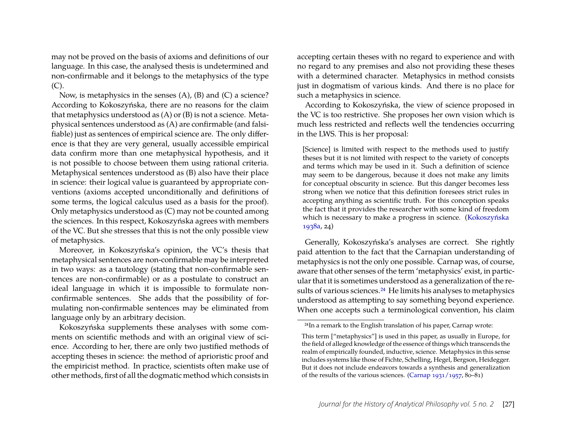may not be proved on the basis of axioms and definitions of our language. In this case, the analysed thesis is undetermined and non-confirmable and it belongs to the metaphysics of the type  $(C).$ 

Now, is metaphysics in the senses (A), (B) and (C) a science? According to Kokoszyńska, there are no reasons for the claim that metaphysics understood as (A) or (B) is not a science. Metaphysical sentences understood as (A) are confirmable (and falsifiable) just as sentences of empirical science are. The only difference is that they are very general, usually accessible empirical data confirm more than one metaphysical hypothesis, and it is not possible to choose between them using rational criteria. Metaphysical sentences understood as (B) also have their place in science: their logical value is guaranteed by appropriate conventions (axioms accepted unconditionally and definitions of some terms, the logical calculus used as a basis for the proof). Only metaphysics understood as (C) may not be counted among the sciences. In this respect, Kokoszyńska agrees with members of the VC. But she stresses that this is not the only possible view of metaphysics.

Moreover, in Kokoszyńska's opinion, the VC's thesis that metaphysical sentences are non-confirmable may be interpreted in two ways: as a tautology (stating that non-confirmable sentences are non-confirmable) or as a postulate to construct an ideal language in which it is impossible to formulate nonconfirmable sentences. She adds that the possibility of formulating non-confirmable sentences may be eliminated from language only by an arbitrary decision.

Kokoszyńska supplements these analyses with some comments on scientific methods and with an original view of science. According to her, there are only two justified methods of accepting theses in science: the method of aprioristic proof and the empiricist method. In practice, scientists often make use of other methods, first of all the dogmatic method which consists in

accepting certain theses with no regard to experience and with no regard to any premises and also not providing these theses with a determined character. Metaphysics in method consists just in dogmatism of various kinds. And there is no place for such a metaphysics in science.

According to Kokoszyńska, the view of science proposed in the VC is too restrictive. She proposes her own vision which is much less restricted and reflects well the tendencies occurring in the LWS. This is her proposal:

[Science] is limited with respect to the methods used to justify theses but it is not limited with respect to the variety of concepts and terms which may be used in it. Such a definition of science may seem to be dangerous, because it does not make any limits for conceptual obscurity in science. But this danger becomes less strong when we notice that this definition foresees strict rules in accepting anything as scientific truth. For this conception speaks the fact that it provides the researcher with some kind of freedom which is necessary to make a progress in science. [\(Kokoszyńska](#page-15-1) [1938a,](#page-15-1) 24)

Generally, Kokoszyńska's analyses are correct. She rightly paid attention to the fact that the Carnapian understanding of metaphysics is not the only one possible. Carnap was, of course, aware that other senses of the term 'metaphysics' exist, in particular that it is sometimes understood as a generalization of the re-sults of various sciences.<sup>[24](#page-9-0)</sup> He limits his analyses to metaphysics understood as attempting to say something beyond experience. When one accepts such a terminological convention, his claim

<span id="page-9-0"></span><sup>24</sup>In a remark to the English translation of his paper, Carnap wrote:

This term ["metaphysics"] is used in this paper, as usually in Europe, for the field of alleged knowledge of the essence of things which transcends the realm of empirically founded, inductive, science. Metaphysics in this sense includes systems like those of Fichte, Schelling, Hegel, Bergson, Heidegger. But it does not include endeavors towards a synthesis and generalization of the results of the various sciences. [\(Carnap 1931/1957,](#page-16-5) 80–81)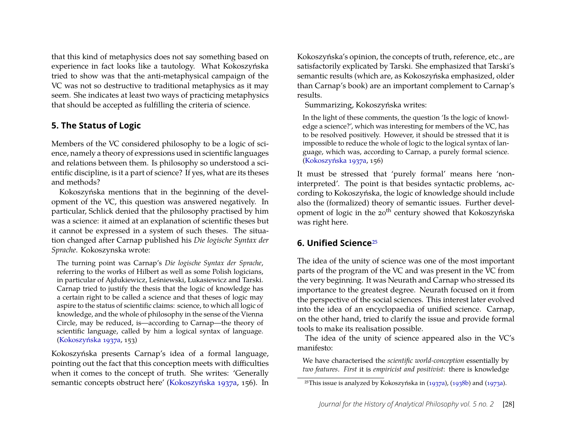that this kind of metaphysics does not say something based on experience in fact looks like a tautology. What Kokoszyńska tried to show was that the anti-metaphysical campaign of the VC was not so destructive to traditional metaphysics as it may seem. She indicates at least two ways of practicing metaphysics that should be accepted as fulfilling the criteria of science.

# **5. The Status of Logic**

Members of the VC considered philosophy to be a logic of science, namely a theory of expressions used in scientific languages and relations between them. Is philosophy so understood a scientific discipline, is it a part of science? If yes, what are its theses and methods?

Kokoszyńska mentions that in the beginning of the development of the VC, this question was answered negatively. In particular, Schlick denied that the philosophy practised by him was a science: it aimed at an explanation of scientific theses but it cannot be expressed in a system of such theses. The situation changed after Carnap published his *Die logische Syntax der Sprache*. Kokoszynska wrote:

The turning point was Carnap's *Die logische Syntax der Sprache*, referring to the works of Hilbert as well as some Polish logicians, in particular of Ajdukiewicz, Leśniewski, Łukasiewicz and Tarski. Carnap tried to justify the thesis that the logic of knowledge has a certain right to be called a science and that theses of logic may aspire to the status of scientific claims: science, to which all logic of knowledge, and the whole of philosophy in the sense of the Vienna Circle, may be reduced, is—according to Carnap—the theory of scientific language, called by him a logical syntax of language. [\(Kokoszyńska 1937a,](#page-15-0) 153)

Kokoszyńska presents Carnap's idea of a formal language, pointing out the fact that this conception meets with difficulties when it comes to the concept of truth. She writes: 'Generally semantic concepts obstruct here' [\(Kokoszyńska 1937a,](#page-15-0) 156). In

Kokoszyńska's opinion, the concepts of truth, reference, etc., are satisfactorily explicated by Tarski. She emphasized that Tarski's semantic results (which are, as Kokoszyńska emphasized, older than Carnap's book) are an important complement to Carnap's results.

Summarizing, Kokoszyńska writes:

In the light of these comments, the question 'Is the logic of knowledge a science?', which was interesting for members of the VC, has to be resolved positively. However, it should be stressed that it is impossible to reduce the whole of logic to the logical syntax of language, which was, according to Carnap, a purely formal science. [\(Kokoszyńska 1937a,](#page-15-0) 156)

It must be stressed that 'purely formal' means here 'noninterpreted'. The point is that besides syntactic problems, according to Kokoszyńska, the logic of knowledge should include also the (formalized) theory of semantic issues. Further development of logic in the 20<sup>th</sup> century showed that Kokoszyńska was right here.

## **6. Unified Science**<sup>[25](#page-10-0)</sup>

The idea of the unity of science was one of the most important parts of the program of the VC and was present in the VC from the very beginning. It was Neurath and Carnap who stressed its importance to the greatest degree. Neurath focused on it from the perspective of the social sciences. This interest later evolved into the idea of an encyclopaedia of unified science. Carnap, on the other hand, tried to clarify the issue and provide formal tools to make its realisation possible.

The idea of the unity of science appeared also in the VC's manifesto:

We have characterised the *scientific world-conception* essentially by *two features*. *First* it is *empiricist and positivist*: there is knowledge

<span id="page-10-0"></span><sup>25</sup>This issue is analyzed by Kokoszyńska in [\(1937a\)](#page-15-0), [\(1938b\)](#page-15-3) and [\(1973a\)](#page-15-4).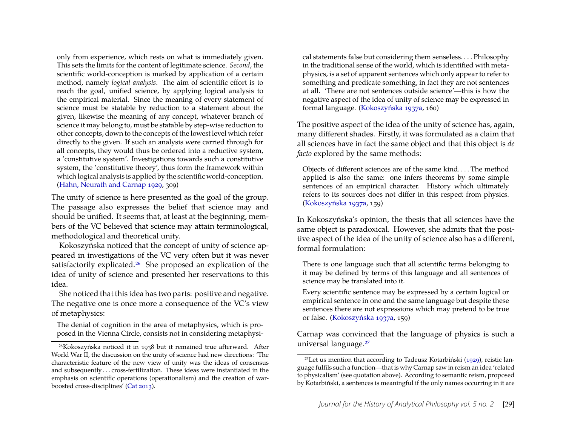only from experience, which rests on what is immediately given. This sets the limits for the content of legitimate science. *Second*, the scientific world-conception is marked by application of a certain method, namely *logical analysis*. The aim of scientific effort is to reach the goal, unified science, by applying logical analysis to the empirical material. Since the meaning of every statement of science must be statable by reduction to a statement about the given, likewise the meaning of any concept, whatever branch of science it may belong to, must be statable by step-wise reduction to other concepts, down to the concepts of the lowest level which refer directly to the given. If such an analysis were carried through for all concepts, they would thus be ordered into a reductive system, a 'constitutive system'. Investigations towards such a constitutive system, the 'constitutive theory', thus form the framework within which logical analysis is applied by the scientific world-conception. [\(Hahn, Neurath and Carnap 1929,](#page-17-13) 309)

The unity of science is here presented as the goal of the group. The passage also expresses the belief that science may and should be unified. It seems that, at least at the beginning, members of the VC believed that science may attain terminological, methodological and theoretical unity.

Kokoszyńska noticed that the concept of unity of science appeared in investigations of the VC very often but it was never satisfactorily explicated.[26](#page-11-0) She proposed an explication of the idea of unity of science and presented her reservations to this idea.

She noticed that this idea has two parts: positive and negative. The negative one is once more a consequence of the VC's view of metaphysics:

The denial of cognition in the area of metaphysics, which is proposed in the Vienna Circle, consists not in considering metaphysi-

cal statements false but considering them senseless. . . . Philosophy in the traditional sense of the world, which is identified with metaphysics, is a set of apparent sentences which only appear to refer to something and predicate something, in fact they are not sentences at all. 'There are not sentences outside science'—this is how the negative aspect of the idea of unity of science may be expressed in formal language. [\(Kokoszyńska 1937a,](#page-15-0) 160)

The positive aspect of the idea of the unity of science has, again, many different shades. Firstly, it was formulated as a claim that all sciences have in fact the same object and that this object is *de facto* explored by the same methods:

Objects of different sciences are of the same kind. . . . The method applied is also the same: one infers theorems by some simple sentences of an empirical character. History which ultimately refers to its sources does not differ in this respect from physics. [\(Kokoszyńska 1937a,](#page-15-0) 159)

In Kokoszyńska's opinion, the thesis that all sciences have the same object is paradoxical. However, she admits that the positive aspect of the idea of the unity of science also has a different, formal formulation:

There is one language such that all scientific terms belonging to it may be defined by terms of this language and all sentences of science may be translated into it.

Every scientific sentence may be expressed by a certain logical or empirical sentence in one and the same language but despite these sentences there are not expressions which may pretend to be true or false. [\(Kokoszyńska 1937a,](#page-15-0) 159)

Carnap was convinced that the language of physics is such a universal language.[27](#page-11-1)

<span id="page-11-0"></span><sup>26</sup>Kokoszyńska noticed it in 1938 but it remained true afterward. After World War II, the discussion on the unity of science had new directions: 'The characteristic feature of the new view of unity was the ideas of consensus and subsequently . . . cross-fertilization. These ideas were instantiated in the emphasis on scientific operations (operationalism) and the creation of warboosted cross-disciplines' [\(Cat 2013\)](#page-16-8).

<span id="page-11-1"></span><sup>&</sup>lt;sup>27</sup>Let us mention that according to Tadeusz Kotarbiński  $(1929)$ , reistic language fulfils such a function—that is why Carnap saw in reism an idea 'related to physicalism' (see quotation above). According to semantic reism, proposed by Kotarbiński, a sentences is meaningful if the only names occurring in it are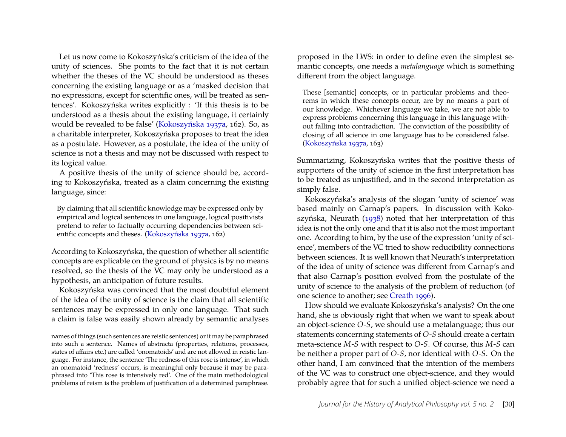Let us now come to Kokoszyńska's criticism of the idea of the unity of sciences. She points to the fact that it is not certain whether the theses of the VC should be understood as theses concerning the existing language or as a 'masked decision that no expressions, except for scientific ones, will be treated as sentences'. Kokoszyńska writes explicitly : 'If this thesis is to be understood as a thesis about the existing language, it certainly would be revealed to be false' [\(Kokoszyńska 1937a,](#page-15-0) 162). So, as a charitable interpreter, Kokoszyńska proposes to treat the idea as a postulate. However, as a postulate, the idea of the unity of science is not a thesis and may not be discussed with respect to its logical value.

A positive thesis of the unity of science should be, according to Kokoszyńska, treated as a claim concerning the existing language, since:

By claiming that all scientific knowledge may be expressed only by empirical and logical sentences in one language, logical positivists pretend to refer to factually occurring dependencies between scientific concepts and theses. [\(Kokoszyńska 1937a,](#page-15-0) 162)

According to Kokoszyńska, the question of whether all scientific concepts are explicable on the ground of physics is by no means resolved, so the thesis of the VC may only be understood as a hypothesis, an anticipation of future results.

Kokoszyńska was convinced that the most doubtful element of the idea of the unity of science is the claim that all scientific sentences may be expressed in only one language. That such a claim is false was easily shown already by semantic analyses proposed in the LWS: in order to define even the simplest semantic concepts, one needs a *metalanguage* which is something different from the object language.

These [semantic] concepts, or in particular problems and theorems in which these concepts occur, are by no means a part of our knowledge. Whichever language we take, we are not able to express problems concerning this language in this language without falling into contradiction. The conviction of the possibility of closing of all science in one language has to be considered false. [\(Kokoszyńska 1937a,](#page-15-0) 163)

Summarizing, Kokoszyńska writes that the positive thesis of supporters of the unity of science in the first interpretation has to be treated as unjustified, and in the second interpretation as simply false.

Kokoszyńska's analysis of the slogan 'unity of science' was based mainly on Carnap's papers. In discussion with Kokoszyńska, Neurath [\(1938\)](#page-17-18) noted that her interpretation of this idea is not the only one and that it is also not the most important one. According to him, by the use of the expression 'unity of science', members of the VC tried to show reducibility connections between sciences. It is well known that Neurath's interpretation of the idea of unity of science was different from Carnap's and that also Carnap's position evolved from the postulate of the unity of science to the analysis of the problem of reduction (of one science to another; see [Creath 1996\)](#page-17-19).

How should we evaluate Kokoszyńska's analysis? On the one hand, she is obviously right that when we want to speak about an object-science *O*-*S*, we should use a metalanguage; thus our statements concerning statements of *O*-*S* should create a certain meta-science *M*-*S* with respect to *O*-*S*. Of course, this *M*-*S* can be neither a proper part of *O*-*S*, nor identical with *O*-*S*. On the other hand, I am convinced that the intention of the members of the VC was to construct one object-science, and they would probably agree that for such a unified object-science we need a

names of things (such sentences are reistic sentences) or it may be paraphrased into such a sentence. Names of abstracta (properties, relations, processes, states of affairs etc.) are called 'onomatoids' and are not allowed in reistic language. For instance, the sentence 'The redness of this rose is intense', in which an onomatoid 'redness' occurs, is meaningful only because it may be paraphrased into 'This rose is intensively red'. One of the main methodological problems of reism is the problem of justification of a determined paraphrase.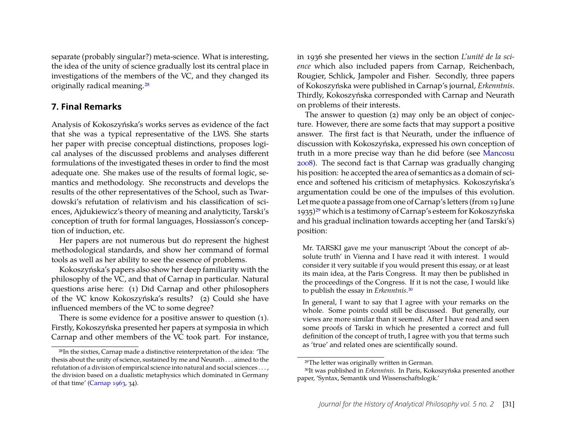separate (probably singular?) meta-science. What is interesting, the idea of the unity of science gradually lost its central place in investigations of the members of the VC, and they changed its originally radical meaning.[28](#page-13-0)

#### **7. Final Remarks**

Analysis of Kokoszyńska's works serves as evidence of the fact that she was a typical representative of the LWS. She starts her paper with precise conceptual distinctions, proposes logical analyses of the discussed problems and analyses different formulations of the investigated theses in order to find the most adequate one. She makes use of the results of formal logic, semantics and methodology. She reconstructs and develops the results of the other representatives of the School, such as Twardowski's refutation of relativism and his classification of sciences, Ajdukiewicz's theory of meaning and analyticity, Tarski's conception of truth for formal languages, Hossiasson's conception of induction, etc.

Her papers are not numerous but do represent the highest methodological standards, and show her command of formal tools as well as her ability to see the essence of problems.

Kokoszyńska's papers also show her deep familiarity with the philosophy of the VC, and that of Carnap in particular. Natural questions arise here: (1) Did Carnap and other philosophers of the VC know Kokoszyńska's results? (2) Could she have influenced members of the VC to some degree?

There is some evidence for a positive answer to question (1). Firstly, Kokoszyńska presented her papers at symposia in which Carnap and other members of the VC took part. For instance, in 1936 she presented her views in the section *L'unité de la science* which also included papers from Carnap, Reichenbach, Rougier, Schlick, Jampoler and Fisher. Secondly, three papers of Kokoszyńska were published in Carnap's journal, *Erkenntnis*. Thirdly, Kokoszyńska corresponded with Carnap and Neurath on problems of their interests.

The answer to question (2) may only be an object of conjecture. However, there are some facts that may support a positive answer. The first fact is that Neurath, under the influence of discussion with Kokoszyńska, expressed his own conception of truth in a more precise way than he did before (see [Mancosu](#page-18-5) [2008\)](#page-18-5). The second fact is that Carnap was gradually changing his position: he accepted the area of semantics as a domain of science and softened his criticism of metaphysics. Kokoszyńska's argumentation could be one of the impulses of this evolution. Let me quote a passage from one of Carnap's letters (from 19 June 1935)[29](#page-13-1) which is a testimony of Carnap's esteem for Kokoszyńska and his gradual inclination towards accepting her (and Tarski's) position:

Mr. TARSKI gave me your manuscript 'About the concept of absolute truth' in Vienna and I have read it with interest. I would consider it very suitable if you would present this essay, or at least its main idea, at the Paris Congress. It may then be published in the proceedings of the Congress. If it is not the case, I would like to publish the essay in *Erkenntnis*.[30](#page-13-2)

In general, I want to say that I agree with your remarks on the whole. Some points could still be discussed. But generally, our views are more similar than it seemed. After I have read and seen some proofs of Tarski in which he presented a correct and full definition of the concept of truth, I agree with you that terms such as 'true' and related ones are scientifically sound.

<span id="page-13-0"></span><sup>28</sup>In the sixties, Carnap made a distinctive reinterpretation of the idea: 'The thesis about the unity of science, sustained by me and Neurath . . . aimed to the refutation of a division of empirical science into natural and social sciences . . . , the division based on a dualistic metaphysics which dominated in Germany of that time' [\(Carnap 1963,](#page-16-4) 34).

<span id="page-13-2"></span><span id="page-13-1"></span><sup>29</sup>The letter was originally written in German.

<sup>30</sup>It was published in *Erkenntnis*. In Paris, Kokoszyńska presented another paper, 'Syntax, Semantik und Wissenschaftslogik.'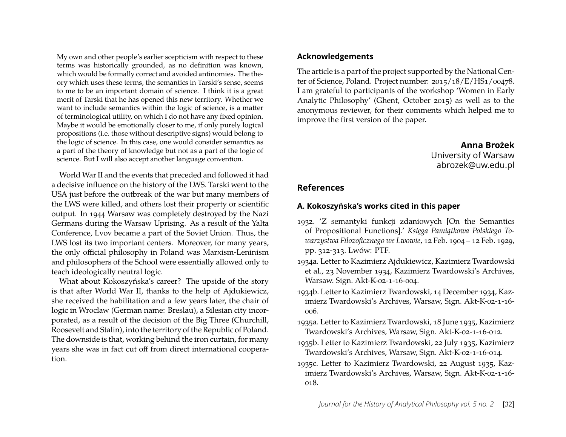My own and other people's earlier scepticism with respect to these terms was historically grounded, as no definition was known, which would be formally correct and avoided antinomies. The theory which uses these terms, the semantics in Tarski's sense, seems to me to be an important domain of science. I think it is a great merit of Tarski that he has opened this new territory. Whether we want to include semantics within the logic of science, is a matter of terminological utility, on which I do not have any fixed opinion. Maybe it would be emotionally closer to me, if only purely logical propositions (i.e. those without descriptive signs) would belong to the logic of science. In this case, one would consider semantics as a part of the theory of knowledge but not as a part of the logic of science. But I will also accept another language convention.

World War II and the events that preceded and followed it had a decisive influence on the history of the LWS. Tarski went to the USA just before the outbreak of the war but many members of the LWS were killed, and others lost their property or scientific output. In 1944 Warsaw was completely destroyed by the Nazi Germans during the Warsaw Uprising. As a result of the Yalta Conference, Lvov became a part of the Soviet Union. Thus, the LWS lost its two important centers. Moreover, for many years, the only official philosophy in Poland was Marxism-Leninism and philosophers of the School were essentially allowed only to teach ideologically neutral logic.

What about Kokoszyńska's career? The upside of the story is that after World War II, thanks to the help of Ajdukiewicz, she received the habilitation and a few years later, the chair of logic in Wrocław (German name: Breslau), a Silesian city incorporated, as a result of the decision of the Big Three (Churchill, Roosevelt and Stalin), into the territory of the Republic of Poland. The downside is that, working behind the iron curtain, for many years she was in fact cut off from direct international cooperation.

#### **Acknowledgements**

The article is a part of the project supported by the National Center of Science, Poland. Project number: 2015/18/E/HS1/00478. I am grateful to participants of the workshop 'Women in Early Analytic Philosophy' (Ghent, October 2015) as well as to the anonymous reviewer, for their comments which helped me to improve the first version of the paper.

> **Anna Brożek** University of Warsaw abrozek@uw.edu.pl

#### <span id="page-14-4"></span>**References**

#### **A. Kokoszyńska's works cited in this paper**

- 1932. 'Z semantyki funkcji zdaniowych [On the Semantics of Propositional Functions].' Księga Pamiatkowa Polskiego To*warzystwa Filozoficznego we Lwowie*, 12 Feb. 1904 – 12 Feb. 1929, pp. 312-313. Lwów: PTF.
- <span id="page-14-2"></span>1934a. Letter to Kazimierz Ajdukiewicz, Kazimierz Twardowski et al., 23 November 1934, Kazimierz Twardowski's Archives, Warsaw. Sign. Akt-K-02-1-16-004.
- 1934b. Letter to Kazimierz Twardowski, 14 December 1934, Kazimierz Twardowski's Archives, Warsaw, Sign. Akt-K-02-1-16- 006.

<span id="page-14-1"></span>1935a. Letter to Kazimierz Twardowski, 18 June 1935, Kazimierz Twardowski's Archives, Warsaw, Sign. Akt-K-02-1-16-012.

- <span id="page-14-3"></span>1935b. Letter to Kazimierz Twardowski, 22 July 1935, Kazimierz Twardowski's Archives, Warsaw, Sign. Akt-K-02-1-16-014.
- <span id="page-14-0"></span>1935c. Letter to Kazimierz Twardowski, 22 August 1935, Kazimierz Twardowski's Archives, Warsaw, Sign. Akt-K-02-1-16- 018.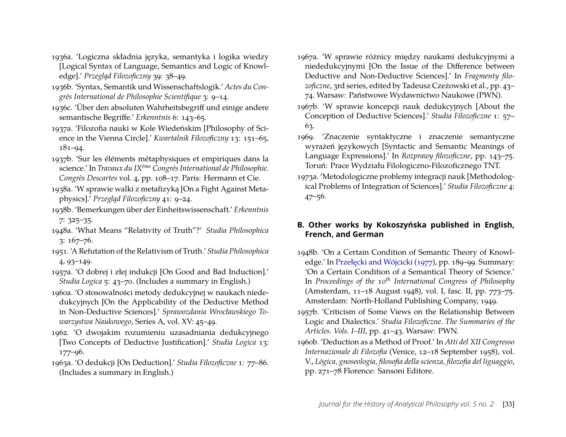- 1936a. 'Logiczna składnia języka, semantyka i logika wiedzy [Logical Syntax of Language, Semantics and Logic of Knowledge].' Przegląd Filozoficzny 39: 38-49.
- 1936b. 'Syntax, Semantik und Wissenschaftslogik.' *Actes du Congrès International de Philosophie Scientifique* 3: 9–14.
- 1936c. 'Über den absoluten Wahrheitsbegriff und einige andere semantische Begriffe.' *Erkenntnis* 6: 143–65.
- <span id="page-15-0"></span>1937a. 'Filozofia nauki w Kole Wiedeńskim [Philosophy of Science in the Vienna Circle].' *Kwartalnik Filozoficzny* 13: 151–65, 181–94.
- <span id="page-15-2"></span>1937b. 'Sur les éléments métaphysiques et empiriques dans la science.' In *Travaux du IXème Congrès International de Philosophie. Congrès Descartes* vol. 4, pp. 108–17. Paris: Hermann et Cie.
- <span id="page-15-1"></span>1938a. 'W sprawie walki z metafizyką [On a Fight Against Metaphysics].' *Przegląd Filozoficzny* 41: 9-24.
- <span id="page-15-3"></span>1938b. 'Bemerkungen über der Einheitswissenschaft.' *Erkenntnis* 7: 325–35.
- 1948a. 'What Means "Relativity of Truth"?' *Studia Philosophica* 3: 167–76.
- 1951. 'A Refutation of the Relativism of Truth.' *Studia Philosophica* 4, 93–149.
- 1957a. 'O dobrej i złej indukcji [On Good and Bad Induction].' *Studia Logica* 5: 43–70. (Includes a summary in English.)
- 1960a. 'O stosowalności metody dedukcyjnej w naukach niededukcyjnych [On the Applicability of the Deductive Method in Non-Deductive Sciences].' *Sprawozdania Wrocławskiego Towarzystwa Naukowego*, Series A, vol. XV: 45–49.
- 1962. 'O dwojakim rozumieniu uzasadniania dedukcyjnego [Two Concepts of Deductive Justification].' *Studia Logica* 13: 177–96.
- 1963a. 'O dedukcji [On Deduction].' *Studia Filozoficzne* 1: 77–86. (Includes a summary in English.)
- 1967a. 'W sprawie różnicy między naukami dedukcyjnymi a niededukcyjnymi [On the Issue of the Difference between Deductive and Non-Deductive Sciences].' In *Fragmenty filozoficzne*, 3rd series, edited by Tadeusz Czeżowski et al., pp. 43– 74. Warsaw: Państwowe Wydawnictwo Naukowe (PWN).
- 1967b. 'W sprawie koncepcji nauk dedukcyjnych [About the Conception of Deductive Sciences].' *Studia Filozoficzne* 1: 57– 63.
- 1969. 'Znaczenie syntaktyczne i znaczenie semantyczne wyrażeń językowych [Syntactic and Semantic Meanings of Language Expressions].' In *Rozprawy filozoficzne*, pp. 143–75. Toruń: Prace Wydziału Filologiczno-Filozoficznego TNT.
- <span id="page-15-4"></span>1973a. 'Metodologiczne problemy integracji nauk [Methodological Problems of Integration of Sciences].' *Studia Filozoficzne* 4: 47–56.

#### **B. Other works by Kokoszyńska published in English, French, and German**

- 1948b. 'On a Certain Condition of Semantic Theory of Knowl-edge.' In Przełęcki and Wójcicki [\(1977\)](#page-17-20), pp. 189-99. Summary: 'On a Certain Condition of a Semantical Theory of Science.' In *Proceedings of the 10th International Congress of Philosophy* (Amsterdam, 11–18 August 1948), vol. I, fasc. II, pp. 773–75. Amsterdam: North-Holland Publishing Company, 1949.
- 1957b. 'Criticism of Some Views on the Relationship Between Logic and Dialectics.' *Studia Filozoficzne. The Summaries of the Articles. Vols. I–III*, pp. 41–43. Warsaw: PWN.
- 1960b. 'Deduction as a Method of Proof.' In *Atti del XII Congresso Internazionale di Filozofia* (Venice, 12–18 September 1958), vol. V., *Lògica, gnoseologia, filosofia della scienza, filozofia del liguaggio*, pp. 271–78 Florence: Sansoni Editore.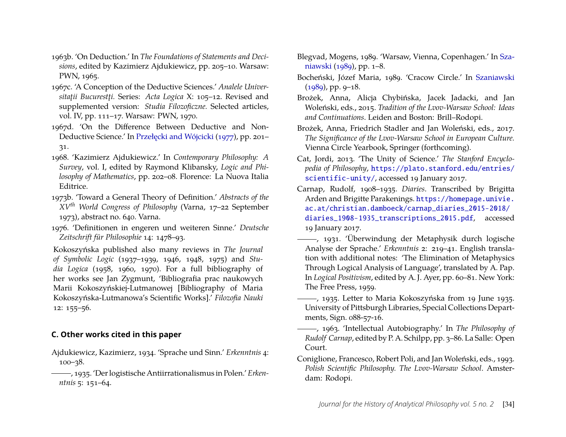- 1963b. 'On Deduction.' In *The Foundations of Statements and Decisions*, edited by Kazimierz Ajdukiewicz, pp. 205–10. Warsaw: PWN, 1965.
- 1967c. 'A Conception of the Deductive Sciences.' *Analele Universitaţii Bucurestţi.* Series: *Acta Logica* X: 105–12. Revised and supplemented version: *Studia Filozoficzne.* Selected articles, vol. IV, pp. 111–17. Warsaw: PWN, 1970.
- 1967d. 'On the Difference Between Deductive and Non-Deductive Science.' In Przełęcki and Wójcicki [\(1977\)](#page-17-20), pp. 201– 31.
- 1968. 'Kazimierz Ajdukiewicz.' In *Contemporary Philosophy: A Survey*, vol. I, edited by Raymond Klibansky, *Logic and Philosophy of Mathematics*, pp. 202–08. Florence: La Nuova Italia Editrice.
- 1973b. 'Toward a General Theory of Definition.' *Abstracts of the XVth World Congress of Philosophy* (Varna, 17–22 September 1973), abstract no. 640. Varna.
- 1976. 'Definitionen in engeren und weiteren Sinne.' *Deutsche Zeitschrift für Philosophie* 14: 1478–93.

Kokoszyńska published also many reviews in *The Journal of Symbolic Logic* (1937–1939, 1946, 1948, 1975) and *Studia Logica* (1958, 1960, 1970). For a full bibliography of her works see Jan Zygmunt, 'Bibliografia prac naukowych Marii Kokoszyńskiej-Lutmanowej [Bibliography of Maria Kokoszyńska-Lutmanowa's Scientific Works].' *Filozofia Nauki* 12: 155–56.

#### **C. Other works cited in this paper**

- <span id="page-16-6"></span>Ajdukiewicz, Kazimierz, 1934. 'Sprache und Sinn.' *Erkenntnis* 4: 100–38.
- <span id="page-16-3"></span>, 1935. 'Der logistische Antiirrationalismus in Polen.' *Erkenntnis* 5: 151–64.
- Blegvad, Mogens, 1989. 'Warsaw, Vienna, Copenhagen.' In [Sza](#page-17-8)[niawski](#page-17-8) [\(1989\)](#page-17-8), pp. 1–8.
- <span id="page-16-7"></span>Bocheński, Józef Maria, 1989. 'Cracow Circle.' In [Szaniawski](#page-17-8)  $(1989)$ , pp. 9–18.
- <span id="page-16-1"></span>Brożek, Anna, Alicja Chybińska, Jacek Jadacki, and Jan Woleński, eds., 2015. *Tradition of the Lvov-Warsaw School: Ideas and Continuations*. Leiden and Boston: Brill–Rodopi.
- <span id="page-16-9"></span>Brożek, Anna, Friedrich Stadler and Jan Woleński, eds., 2017. *The Significance of the Lvov-Warsaw School in European Culture.* Vienna Circle Yearbook, Springer (forthcoming).
- <span id="page-16-8"></span>Cat, Jordi, 2013. 'The Unity of Science.' *The Stanford Encyclopedia of Philosophy*, [https://plato.stanford.edu/entries/](https://plato.stanford.edu/entries/scientific-unity/) [scientific-unity/](https://plato.stanford.edu/entries/scientific-unity/), accessed 19 January 2017.
- <span id="page-16-0"></span>Carnap, Rudolf, 1908–1935. *Diaries*. Transcribed by Brigitta Arden and Brigitte Parakenings. [https://homepage.univie.](https://homepage.univie.ac.at/christian.damboeck/carnap_diaries_2015-2018/diaries_1908-1935_transcriptions_2015.pdf) [ac.at/christian.damboeck/carnap\\_diaries\\_2015-2018/](https://homepage.univie.ac.at/christian.damboeck/carnap_diaries_2015-2018/diaries_1908-1935_transcriptions_2015.pdf) [diaries\\_1908-1935\\_transcriptions\\_2015.pdf](https://homepage.univie.ac.at/christian.damboeck/carnap_diaries_2015-2018/diaries_1908-1935_transcriptions_2015.pdf), accessed 19 January 2017.
- <span id="page-16-5"></span>, 1931. 'Überwindung der Metaphysik durch logische Analyse der Sprache.' *Erkenntnis* 2: 219–41. English translation with additional notes: 'The Elimination of Metaphysics Through Logical Analysis of Language', translated by A. Pap. In *Logical Positivism*, edited by A. J. Ayer, pp. 60–81. New York: The Free Press, 1959.
- , 1935. Letter to Maria Kokoszyńska from 19 June 1935. University of Pittsburgh Libraries, Special Collections Departments, Sign. 088-57-16.
- <span id="page-16-4"></span>, 1963. 'Intellectual Autobiography.' In *The Philosophy of Rudolf Carnap*, edited by P. A. Schilpp, pp. 3–86. La Salle: Open Court.
- <span id="page-16-2"></span>Coniglione, Francesco, Robert Poli, and Jan Woleński, eds., 1993. *Polish Scientific Philosophy. The Lvov-Warsaw School*. Amsterdam: Rodopi.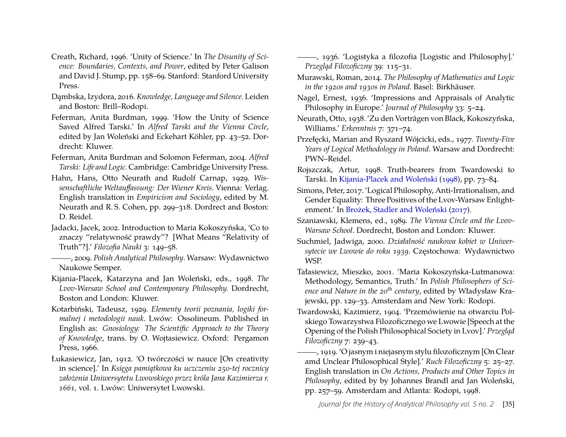- <span id="page-17-19"></span>Creath, Richard, 1996. 'Unity of Science.' In *The Disunity of Science: Boundaries, Contexts, and Power*, edited by Peter Galison and David J. Stump, pp. 158–69. Stanford: Stanford University Press.
- <span id="page-17-16"></span>Dambska, Izydora, 2016. *Knowledge, Language and Silence*. Leiden and Boston: Brill–Rodopi.
- <span id="page-17-1"></span>Feferman, Anita Burdman, 1999. 'How the Unity of Science Saved Alfred Tarski.' In *Alfred Tarski and the Vienna Circle*, edited by Jan Woleński and Eckehart Köhler, pp. 43–52. Dordrecht: Kluwer.
- <span id="page-17-3"></span>Feferman, Anita Burdman and Solomon Feferman, 2004. *Alfred Tarski: Life and Logic.* Cambridge: Cambridge University Press.
- <span id="page-17-13"></span>Hahn, Hans, Otto Neurath and Rudolf Carnap, 1929. *Wissenschaftliche Weltauffassung: Der Wiener Kreis*. Vienna: Verlag. English translation in *Empiricism and Sociology*, edited by M. Neurath and R. S. Cohen, pp. 299–318. Dordrect and Boston: D. Reidel.
- <span id="page-17-2"></span>Jadacki, Jacek, 2002. Introduction to Maria Kokoszyńska, 'Co to znaczy "relatywność prawdy"? [What Means "Relativity of Truth"?].' *Filozofia Nauki* 3: 149–58.
- <span id="page-17-5"></span>, 2009. *Polish Analytical Philosophy*. Warsaw: Wydawnictwo Naukowe Semper.
- <span id="page-17-6"></span>Kijania-Placek, Katarzyna and Jan Woleński, eds., 1998. *The Lvov-Warsaw School and Contemporary Philosophy.* Dordrecht, Boston and London: Kluwer.
- <span id="page-17-17"></span>Kotarbiński, Tadeusz, 1929. *Elementy teorii poznania, logiki formalnej i metodologii nauk*. Lwów: Ossolineum. Published in English as: *Gnosiology: The Scientific Approach to the Theory of Knowledge*, trans. by O. Wojtasiewicz. Oxford: Pergamon Press, 1966.
- <span id="page-17-12"></span>Łukasiewicz, Jan, 1912. 'O twórczości w nauce [On creativity in science].' In *Księga pamiatkowa ku uczczeniu 250-tej rocznicy założenia Uniwersytetu Lwowskiego przez króla Jana Kazimierza r. 1661,* vol. 1. Lwów: Uniwersytet Lwowski.

<span id="page-17-15"></span>, 1936. 'Logistyka a filozofia [Logistic and Philosophy].' Przegląd Filozoficzny 39: 115-31.

- <span id="page-17-7"></span>Murawski, Roman, 2014. *The Philosophy of Mathematics and Logic in the 1920s and 1930s in Poland*. Basel: Birkhäuser.
- <span id="page-17-9"></span>Nagel, Ernest, 1936. 'Impressions and Appraisals of Analytic Philosophy in Europe.' *Journal of Philosophy* 33: 5–24.
- <span id="page-17-18"></span>Neurath, Otto, 1938. 'Zu den Vorträgen von Black, Kokoszyńska, Williams.' *Erkenntnis* 7: 371–74.
- <span id="page-17-20"></span>Przełęcki, Marian and Ryszard Wójcicki, eds., 1977. *Twenty-Five Years of Logical Methodology in Poland*. Warsaw and Dordrecht: PWN–Reidel.
- <span id="page-17-4"></span>Rojszczak, Artur, 1998. Truth-bearers from Twardowski to Tarski. In [Kijania-Placek and Woleński](#page-17-6) [\(1998\)](#page-17-6), pp. 73–84.
- <span id="page-17-14"></span>Simons, Peter, 2017. 'Logical Philosophy, Anti-Irrationalism, and Gender Equality: Three Positives of the Lvov-Warsaw Enlightenment.' In [Brożek, Stadler and Woleński](#page-16-9) [\(2017\)](#page-16-9).
- <span id="page-17-8"></span>Szaniawski, Klemens, ed., 1989. *The Vienna Circle and the Lvov-Warsaw School*. Dordrecht, Boston and London: Kluwer.
- Suchmiel, Jadwiga, 2000. *Działalność naukowa kobiet w Uniwer*sytecie we Lwowie do roku 1939. Częstochowa: Wydawnictwo WSP.
- <span id="page-17-0"></span>Tałasiewicz, Mieszko, 2001. 'Maria Kokoszyńska-Lutmanowa: Methodology, Semantics, Truth.' In *Polish Philosophers of Science and Nature in the 20th century*, edited by Władysław Krajewski, pp. 129–33. Amsterdam and New York: Rodopi.
- <span id="page-17-10"></span>Twardowski, Kazimierz, 1904. 'Przemówienie na otwarciu Polskiego Towarzystwa Filozoficznego we Lwowie [Speech at the Opening of the Polish Philosophical Society in Lvov].' Przegląd *Filozoficzny* 7: 239–43.
- <span id="page-17-11"></span>, 1919. 'O jasnym i niejasnym stylu filozoficznym [On Clear amd Unclear Philosophical Style].' *Ruch Filozoficzny* 5: 25–27. English translation in *On Actions, Products and Other Topics in Philosophy*, edited by by Johannes Brandl and Jan Woleński, pp. 257–59. Amsterdam and Atlanta: Rodopi, 1998.